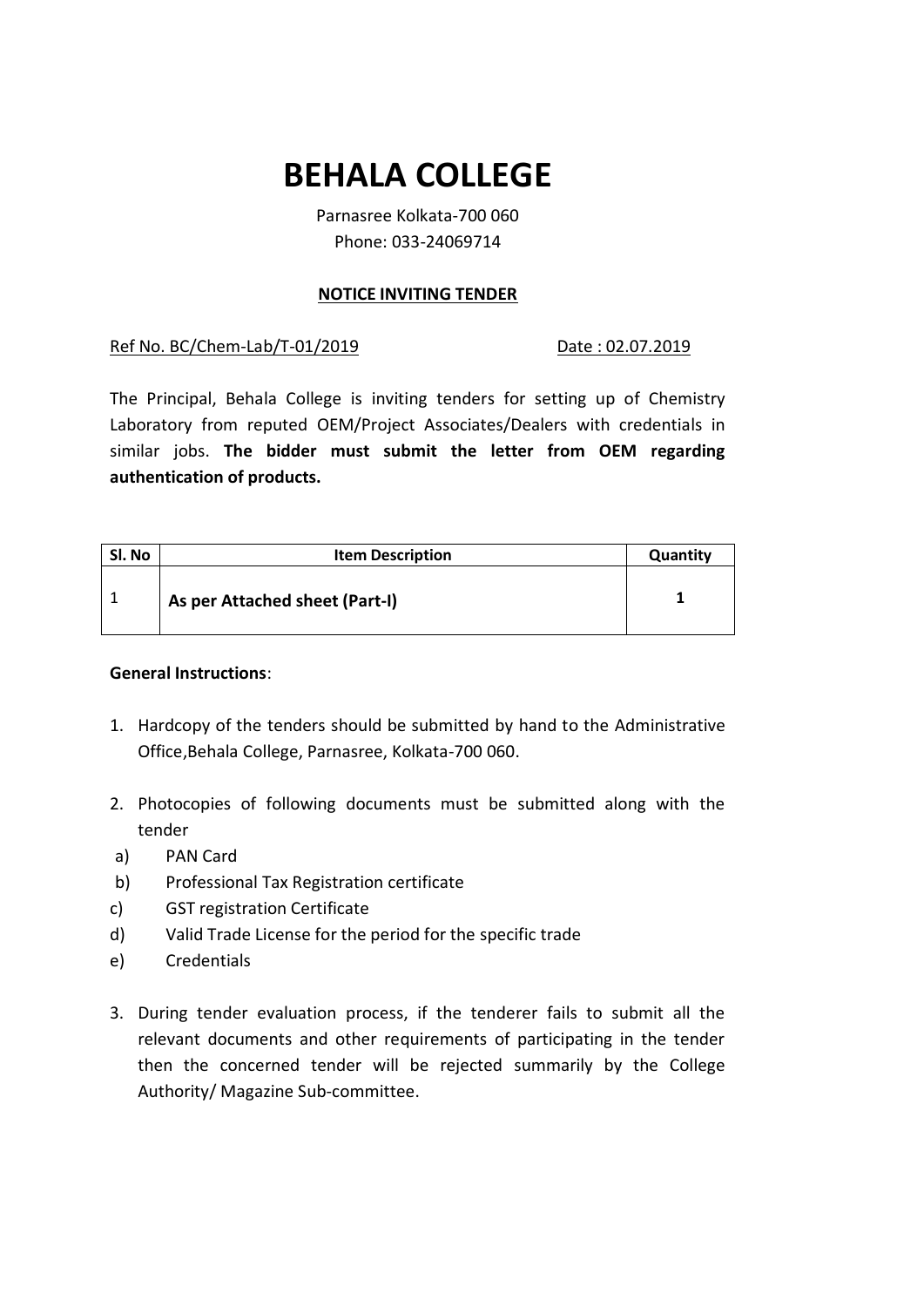## **BEHALA COLLEGE**

Parnasree Kolkata-700 060 Phone: 033-24069714

## **NOTICE INVITING TENDER**

Ref No. BC/Chem-Lab/T-01/2019 Date: 02.07.2019

The Principal, Behala College is inviting tenders for setting up of Chemistry Laboratory from reputed OEM/Project Associates/Dealers with credentials in similar jobs. **The bidder must submit the letter from OEM regarding authentication of products.**

| Sl. No | <b>Item Description</b>        | Quantity |
|--------|--------------------------------|----------|
|        | As per Attached sheet (Part-I) |          |

## **General Instructions**:

- 1. Hardcopy of the tenders should be submitted by hand to the Administrative Office,Behala College, Parnasree, Kolkata-700 060.
- 2. Photocopies of following documents must be submitted along with the tender
- a) PAN Card
- b) Professional Tax Registration certificate
- c) GST registration Certificate
- d) Valid Trade License for the period for the specific trade
- e) Credentials
- 3. During tender evaluation process, if the tenderer fails to submit all the relevant documents and other requirements of participating in the tender then the concerned tender will be rejected summarily by the College Authority/ Magazine Sub-committee.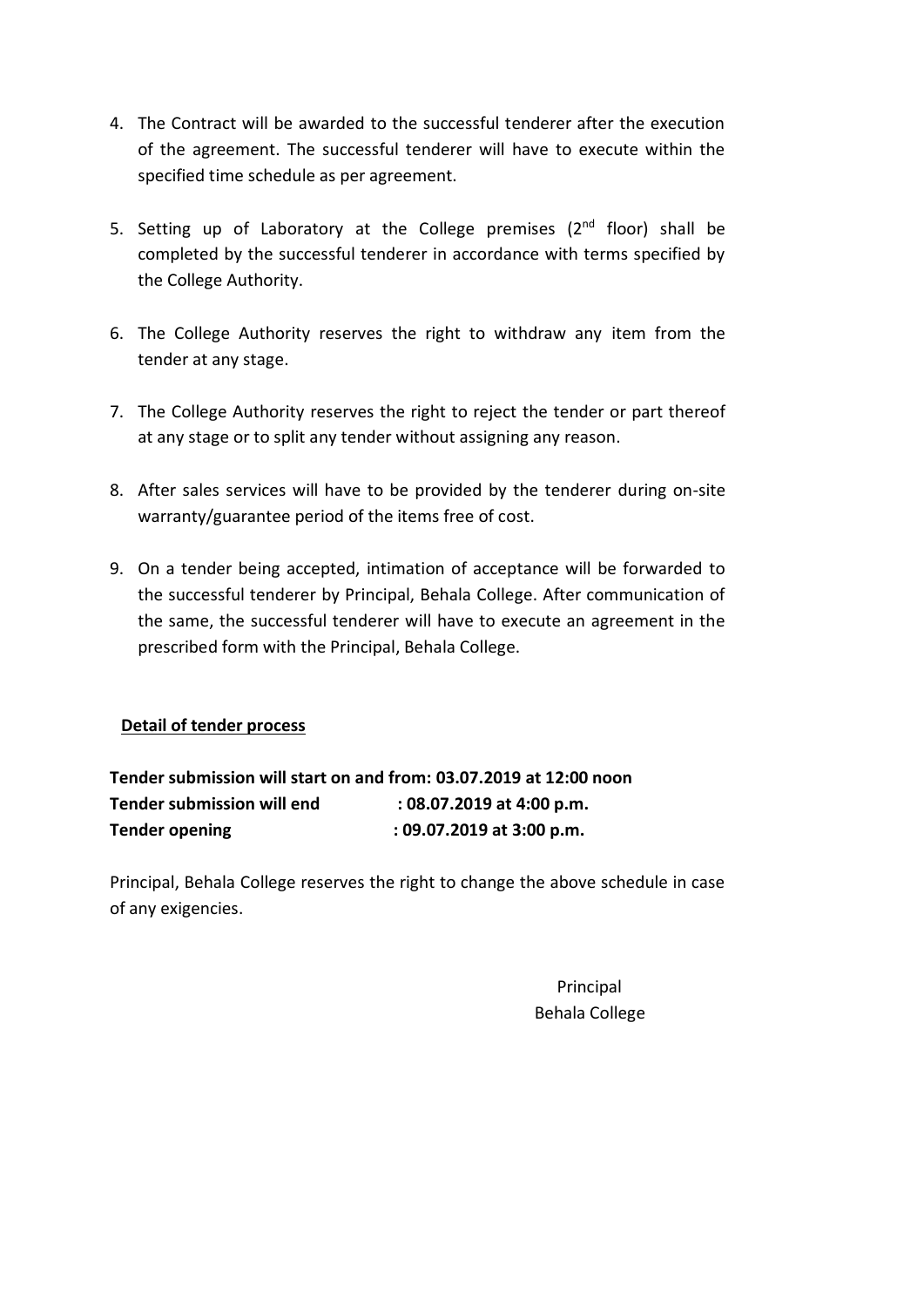- 4. The Contract will be awarded to the successful tenderer after the execution of the agreement. The successful tenderer will have to execute within the specified time schedule as per agreement.
- 5. Setting up of Laboratory at the College premises  $(2^{nd}$  floor) shall be completed by the successful tenderer in accordance with terms specified by the College Authority.
- 6. The College Authority reserves the right to withdraw any item from the tender at any stage.
- 7. The College Authority reserves the right to reject the tender or part thereof at any stage or to split any tender without assigning any reason.
- 8. After sales services will have to be provided by the tenderer during on-site warranty/guarantee period of the items free of cost.
- 9. On a tender being accepted, intimation of acceptance will be forwarded to the successful tenderer by Principal, Behala College. After communication of the same, the successful tenderer will have to execute an agreement in the prescribed form with the Principal, Behala College.

## **Detail of tender process**

**Tender submission will start on and from: 03.07.2019 at 12:00 noon Tender submission will end : 08.07.2019 at 4:00 p.m. Tender opening : 09.07.2019 at 3:00 p.m.**

Principal, Behala College reserves the right to change the above schedule in case of any exigencies.

> Principal Behala College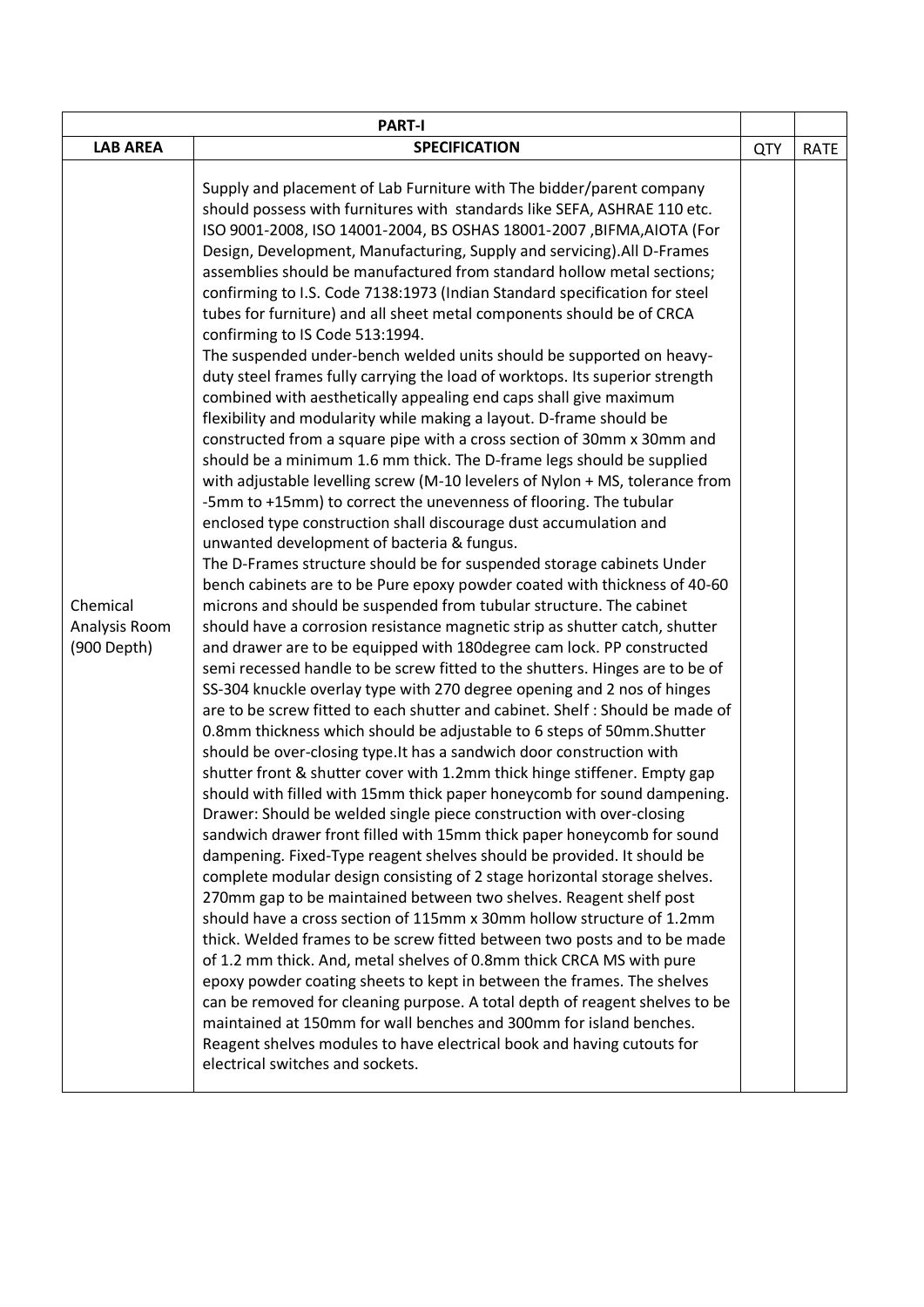| <b>PART-I</b>                            |                                                                                                                                                                                                                                                                                                                                                                                                                                                                                                                                                                                                                                                                                                                                                                                                                                                                                                                                                                                                                                                                                                                                                                                                                                                                                                                                                                                                                                                                                                                                                                                                                                                                                                                                                                                                                                                                                                                                                                                                                                                                                                                                                                                                                                                                                                                                                                                                                                                                                                                                                                                                                                                                                                                                                                                                                                                                                                                                                                                                                                                                                                                                                                                                             |            |             |  |
|------------------------------------------|-------------------------------------------------------------------------------------------------------------------------------------------------------------------------------------------------------------------------------------------------------------------------------------------------------------------------------------------------------------------------------------------------------------------------------------------------------------------------------------------------------------------------------------------------------------------------------------------------------------------------------------------------------------------------------------------------------------------------------------------------------------------------------------------------------------------------------------------------------------------------------------------------------------------------------------------------------------------------------------------------------------------------------------------------------------------------------------------------------------------------------------------------------------------------------------------------------------------------------------------------------------------------------------------------------------------------------------------------------------------------------------------------------------------------------------------------------------------------------------------------------------------------------------------------------------------------------------------------------------------------------------------------------------------------------------------------------------------------------------------------------------------------------------------------------------------------------------------------------------------------------------------------------------------------------------------------------------------------------------------------------------------------------------------------------------------------------------------------------------------------------------------------------------------------------------------------------------------------------------------------------------------------------------------------------------------------------------------------------------------------------------------------------------------------------------------------------------------------------------------------------------------------------------------------------------------------------------------------------------------------------------------------------------------------------------------------------------------------------------------------------------------------------------------------------------------------------------------------------------------------------------------------------------------------------------------------------------------------------------------------------------------------------------------------------------------------------------------------------------------------------------------------------------------------------------------------------------|------------|-------------|--|
| <b>LAB AREA</b>                          | <b>SPECIFICATION</b>                                                                                                                                                                                                                                                                                                                                                                                                                                                                                                                                                                                                                                                                                                                                                                                                                                                                                                                                                                                                                                                                                                                                                                                                                                                                                                                                                                                                                                                                                                                                                                                                                                                                                                                                                                                                                                                                                                                                                                                                                                                                                                                                                                                                                                                                                                                                                                                                                                                                                                                                                                                                                                                                                                                                                                                                                                                                                                                                                                                                                                                                                                                                                                                        | <b>QTY</b> | <b>RATE</b> |  |
| Chemical<br>Analysis Room<br>(900 Depth) | Supply and placement of Lab Furniture with The bidder/parent company<br>should possess with furnitures with standards like SEFA, ASHRAE 110 etc.<br>ISO 9001-2008, ISO 14001-2004, BS OSHAS 18001-2007, BIFMA, AIOTA (For<br>Design, Development, Manufacturing, Supply and servicing). All D-Frames<br>assemblies should be manufactured from standard hollow metal sections;<br>confirming to I.S. Code 7138:1973 (Indian Standard specification for steel<br>tubes for furniture) and all sheet metal components should be of CRCA<br>confirming to IS Code 513:1994.<br>The suspended under-bench welded units should be supported on heavy-<br>duty steel frames fully carrying the load of worktops. Its superior strength<br>combined with aesthetically appealing end caps shall give maximum<br>flexibility and modularity while making a layout. D-frame should be<br>constructed from a square pipe with a cross section of 30mm x 30mm and<br>should be a minimum 1.6 mm thick. The D-frame legs should be supplied<br>with adjustable levelling screw (M-10 levelers of Nylon + MS, tolerance from<br>-5mm to +15mm) to correct the unevenness of flooring. The tubular<br>enclosed type construction shall discourage dust accumulation and<br>unwanted development of bacteria & fungus.<br>The D-Frames structure should be for suspended storage cabinets Under<br>bench cabinets are to be Pure epoxy powder coated with thickness of 40-60<br>microns and should be suspended from tubular structure. The cabinet<br>should have a corrosion resistance magnetic strip as shutter catch, shutter<br>and drawer are to be equipped with 180degree cam lock. PP constructed<br>semi recessed handle to be screw fitted to the shutters. Hinges are to be of<br>SS-304 knuckle overlay type with 270 degree opening and 2 nos of hinges<br>are to be screw fitted to each shutter and cabinet. Shelf: Should be made of<br>0.8mm thickness which should be adjustable to 6 steps of 50mm. Shutter<br>should be over-closing type. It has a sandwich door construction with<br>shutter front & shutter cover with 1.2mm thick hinge stiffener. Empty gap<br>should with filled with 15mm thick paper honeycomb for sound dampening.<br>Drawer: Should be welded single piece construction with over-closing<br>sandwich drawer front filled with 15mm thick paper honeycomb for sound<br>dampening. Fixed-Type reagent shelves should be provided. It should be<br>complete modular design consisting of 2 stage horizontal storage shelves.<br>270mm gap to be maintained between two shelves. Reagent shelf post<br>should have a cross section of 115mm x 30mm hollow structure of 1.2mm<br>thick. Welded frames to be screw fitted between two posts and to be made<br>of 1.2 mm thick. And, metal shelves of 0.8mm thick CRCA MS with pure<br>epoxy powder coating sheets to kept in between the frames. The shelves<br>can be removed for cleaning purpose. A total depth of reagent shelves to be<br>maintained at 150mm for wall benches and 300mm for island benches.<br>Reagent shelves modules to have electrical book and having cutouts for<br>electrical switches and sockets. |            |             |  |